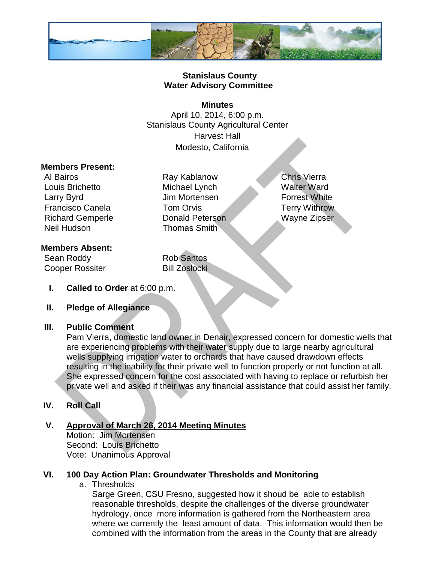

### **Stanislaus County Water Advisory Committee**

#### **Minutes**

April 10, 2014, 6:00 p.m. Stanislaus County Agricultural Center Harvest Hall Modesto, California

#### **Members Present:**

Louis Brichetto Michael Lynch Walter Ward Larry Byrd **In Mortensen** Jim Mortensen **Forrest White** Francisco Canela **Tom Orvis** Terry Withrow Richard Gemperle Donald Peterson Wayne Zipser Neil Hudson **Thomas Smith** 

# Al Bairos **Ray Kablanow** Chris Vierra

# **Members Absent:**

Sean Roddy Rob Santos Cooper Rossiter Bill Zoslocki

**I. Called to Order** at 6:00 p.m.

#### **II. Pledge of Allegiance**

#### **III. Public Comment**

Pam Vierra, domestic land owner in Denair, expressed concern for domestic wells that are experiencing problems with their water supply due to large nearby agricultural wells supplying irrigation water to orchards that have caused drawdown effects resulting in the inability for their private well to function properly or not function at all. She expressed concern for the cost associated with having to replace or refurbish her private well and asked if their was any financial assistance that could assist her family.

# **IV. Roll Call**

#### **V. Approval of March 26, 2014 Meeting Minutes** Motion: Jim Mortensen Second: Louis Brichetto Vote: Unanimous Approval

#### **VI. 100 Day Action Plan: Groundwater Thresholds and Monitoring**

a. Thresholds

Sarge Green, CSU Fresno, suggested how it shoud be able to establish reasonable thresholds, despite the challenges of the diverse groundwater hydrology, once more information is gathered from the Northeastern area where we currently the least amount of data. This information would then be combined with the information from the areas in the County that are already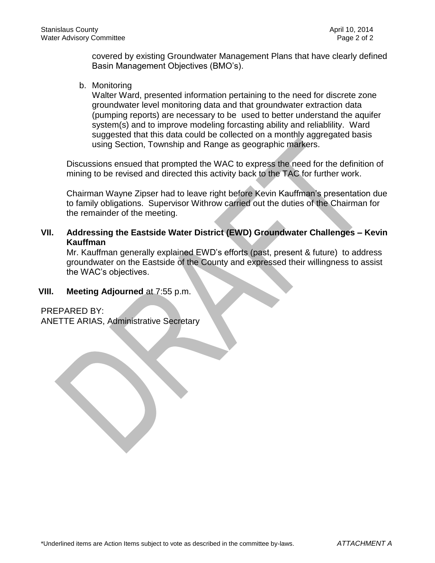covered by existing Groundwater Management Plans that have clearly defined Basin Management Objectives (BMO's).

b. Monitoring

Walter Ward, presented information pertaining to the need for discrete zone groundwater level monitoring data and that groundwater extraction data (pumping reports) are necessary to be used to better understand the aquifer system(s) and to improve modeling forcasting ability and reliablility. Ward suggested that this data could be collected on a monthly aggregated basis using Section, Township and Range as geographic markers.

Discussions ensued that prompted the WAC to express the need for the definition of mining to be revised and directed this activity back to the TAC for further work.

Chairman Wayne Zipser had to leave right before Kevin Kauffman's presentation due to family obligations. Supervisor Withrow carried out the duties of the Chairman for the remainder of the meeting.

**VII. Addressing the Eastside Water District (EWD) Groundwater Challenges – Kevin Kauffman**

Mr. Kauffman generally explained EWD's efforts (past, present & future) to address groundwater on the Eastside of the County and expressed their willingness to assist the WAC's objectives.

**VIII. Meeting Adjourned** at 7:55 p.m.

PREPARED BY:

ANETTE ARIAS, Administrative Secretary